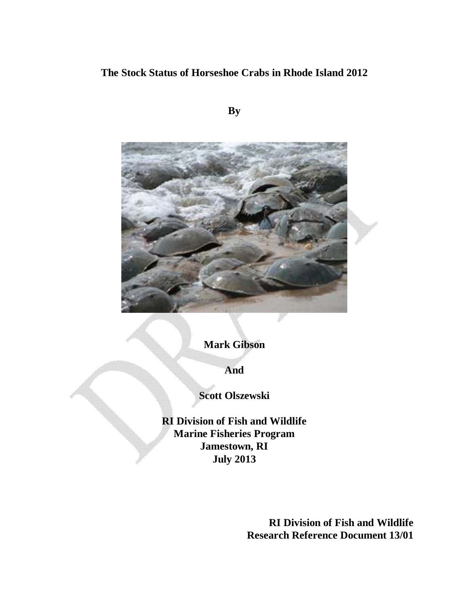# **The Stock Status of Horseshoe Crabs in Rhode Island 2012**

**By**



**Mark Gibson**

**And**

**Scott Olszewski**

**RI Division of Fish and Wildlife Marine Fisheries Program Jamestown, RI July 2013**

> **RI Division of Fish and Wildlife Research Reference Document 13/01**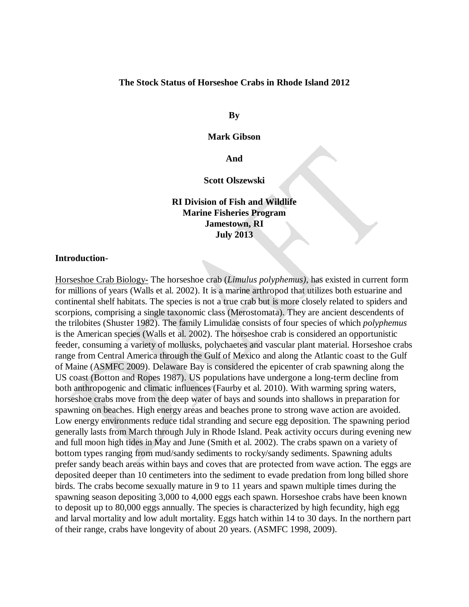# **The Stock Status of Horseshoe Crabs in Rhode Island 2012**

**By**

# **Mark Gibson**

**And**

#### **Scott Olszewski**

# **RI Division of Fish and Wildlife Marine Fisheries Program Jamestown, RI July 2013**

# **Introduction-**

Horseshoe Crab Biology- The horseshoe crab (*Limulus polyphemus)*, has existed in current form for millions of years (Walls et al. 2002). It is a marine arthropod that utilizes both estuarine and continental shelf habitats. The species is not a true crab but is more closely related to spiders and scorpions, comprising a single taxonomic class (Merostomata). They are ancient descendents of the trilobites (Shuster 1982). The family Limulidae consists of four species of which *polyphemus* is the American species (Walls et al. 2002). The horseshoe crab is considered an opportunistic feeder, consuming a variety of mollusks, polychaetes and vascular plant material. Horseshoe crabs range from Central America through the Gulf of Mexico and along the Atlantic coast to the Gulf of Maine (ASMFC 2009). Delaware Bay is considered the epicenter of crab spawning along the US coast (Botton and Ropes 1987). US populations have undergone a long-term decline from both anthropogenic and climatic influences (Faurby et al. 2010). With warming spring waters, horseshoe crabs move from the deep water of bays and sounds into shallows in preparation for spawning on beaches. High energy areas and beaches prone to strong wave action are avoided. Low energy environments reduce tidal stranding and secure egg deposition. The spawning period generally lasts from March through July in Rhode Island. Peak activity occurs during evening new and full moon high tides in May and June (Smith et al. 2002). The crabs spawn on a variety of bottom types ranging from mud/sandy sediments to rocky/sandy sediments. Spawning adults prefer sandy beach areas within bays and coves that are protected from wave action. The eggs are deposited deeper than 10 centimeters into the sediment to evade predation from long billed shore birds. The crabs become sexually mature in 9 to 11 years and spawn multiple times during the spawning season depositing 3,000 to 4,000 eggs each spawn. Horseshoe crabs have been known to deposit up to 80,000 eggs annually. The species is characterized by high fecundity, high egg and larval mortality and low adult mortality. Eggs hatch within 14 to 30 days. In the northern part of their range, crabs have longevity of about 20 years. (ASMFC 1998, 2009).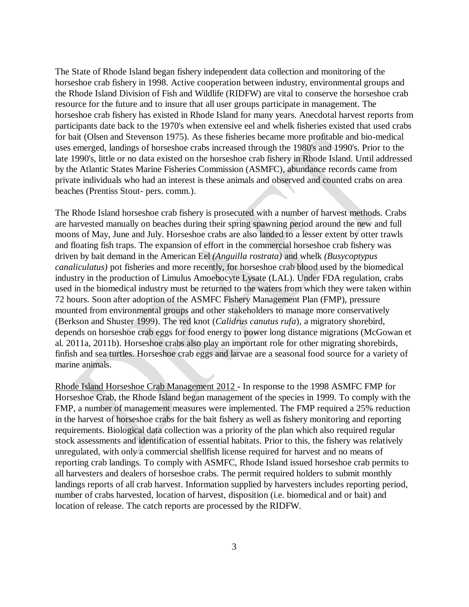The State of Rhode Island began fishery independent data collection and monitoring of the horseshoe crab fishery in 1998. Active cooperation between industry, environmental groups and the Rhode Island Division of Fish and Wildlife (RIDFW) are vital to conserve the horseshoe crab resource for the future and to insure that all user groups participate in management. The horseshoe crab fishery has existed in Rhode Island for many years. Anecdotal harvest reports from participants date back to the 1970's when extensive eel and whelk fisheries existed that used crabs for bait (Olsen and Stevenson 1975). As these fisheries became more profitable and bio-medical uses emerged, landings of horseshoe crabs increased through the 1980's and 1990's. Prior to the late 1990's, little or no data existed on the horseshoe crab fishery in Rhode Island. Until addressed by the Atlantic States Marine Fisheries Commission (ASMFC), abundance records came from private individuals who had an interest is these animals and observed and counted crabs on area beaches (Prentiss Stout- pers. comm.).

The Rhode Island horseshoe crab fishery is prosecuted with a number of harvest methods. Crabs are harvested manually on beaches during their spring spawning period around the new and full moons of May, June and July. Horseshoe crabs are also landed to a lesser extent by otter trawls and floating fish traps. The expansion of effort in the commercial horseshoe crab fishery was driven by bait demand in the American Eel *(Anguilla rostrata)* and whelk *(Busycoptypus canaliculatus)* pot fisheries and more recently, for horseshoe crab blood used by the biomedical industry in the production of Limulus Amoebocyte Lysate (LAL). Under FDA regulation, crabs used in the biomedical industry must be returned to the waters from which they were taken within 72 hours. Soon after adoption of the ASMFC Fishery Management Plan (FMP), pressure mounted from environmental groups and other stakeholders to manage more conservatively (Berkson and Shuster 1999). The red knot (*Calidrus canutus rufa*), a migratory shorebird, depends on horseshoe crab eggs for food energy to power long distance migrations (McGowan et al. 2011a, 2011b). Horseshoe crabs also play an important role for other migrating shorebirds, finfish and sea turtles. Horseshoe crab eggs and larvae are a seasonal food source for a variety of marine animals.

Rhode Island Horseshoe Crab Management 2012 **-** In response to the 1998 ASMFC FMP for Horseshoe Crab, the Rhode Island began management of the species in 1999. To comply with the FMP, a number of management measures were implemented. The FMP required a 25% reduction in the harvest of horseshoe crabs for the bait fishery as well as fishery monitoring and reporting requirements. Biological data collection was a priority of the plan which also required regular stock assessments and identification of essential habitats. Prior to this, the fishery was relatively unregulated, with only a commercial shellfish license required for harvest and no means of reporting crab landings. To comply with ASMFC, Rhode Island issued horseshoe crab permits to all harvesters and dealers of horseshoe crabs. The permit required holders to submit monthly landings reports of all crab harvest. Information supplied by harvesters includes reporting period, number of crabs harvested, location of harvest, disposition (i.e. biomedical and or bait) and location of release. The catch reports are processed by the RIDFW.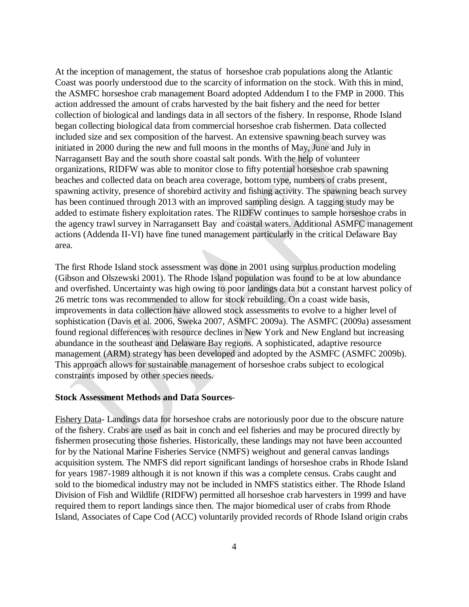At the inception of management, the status of horseshoe crab populations along the Atlantic Coast was poorly understood due to the scarcity of information on the stock. With this in mind, the ASMFC horseshoe crab management Board adopted Addendum I to the FMP in 2000. This action addressed the amount of crabs harvested by the bait fishery and the need for better collection of biological and landings data in all sectors of the fishery. In response, Rhode Island began collecting biological data from commercial horseshoe crab fishermen. Data collected included size and sex composition of the harvest. An extensive spawning beach survey was initiated in 2000 during the new and full moons in the months of May, June and July in Narragansett Bay and the south shore coastal salt ponds. With the help of volunteer organizations, RIDFW was able to monitor close to fifty potential horseshoe crab spawning beaches and collected data on beach area coverage, bottom type, numbers of crabs present, spawning activity, presence of shorebird activity and fishing activity. The spawning beach survey has been continued through 2013 with an improved sampling design. A tagging study may be added to estimate fishery exploitation rates. The RIDFW continues to sample horseshoe crabs in the agency trawl survey in Narragansett Bay and coastal waters. Additional ASMFC management actions (Addenda II-VI) have fine tuned management particularly in the critical Delaware Bay area.

The first Rhode Island stock assessment was done in 2001 using surplus production modeling (Gibson and Olszewski 2001). The Rhode Island population was found to be at low abundance and overfished. Uncertainty was high owing to poor landings data but a constant harvest policy of 26 metric tons was recommended to allow for stock rebuilding. On a coast wide basis, improvements in data collection have allowed stock assessments to evolve to a higher level of sophistication (Davis et al. 2006, Sweka 2007, ASMFC 2009a). The ASMFC (2009a) assessment found regional differences with resource declines in New York and New England but increasing abundance in the southeast and Delaware Bay regions. A sophisticated, adaptive resource management (ARM) strategy has been developed and adopted by the ASMFC (ASMFC 2009b). This approach allows for sustainable management of horseshoe crabs subject to ecological constraints imposed by other species needs.

# **Stock Assessment Methods and Data Sources**-

Fishery Data- Landings data for horseshoe crabs are notoriously poor due to the obscure nature of the fishery. Crabs are used as bait in conch and eel fisheries and may be procured directly by fishermen prosecuting those fisheries. Historically, these landings may not have been accounted for by the National Marine Fisheries Service (NMFS) weighout and general canvas landings acquisition system. The NMFS did report significant landings of horseshoe crabs in Rhode Island for years 1987-1989 although it is not known if this was a complete census. Crabs caught and sold to the biomedical industry may not be included in NMFS statistics either. The Rhode Island Division of Fish and Wildlife (RIDFW) permitted all horseshoe crab harvesters in 1999 and have required them to report landings since then. The major biomedical user of crabs from Rhode Island, Associates of Cape Cod (ACC) voluntarily provided records of Rhode Island origin crabs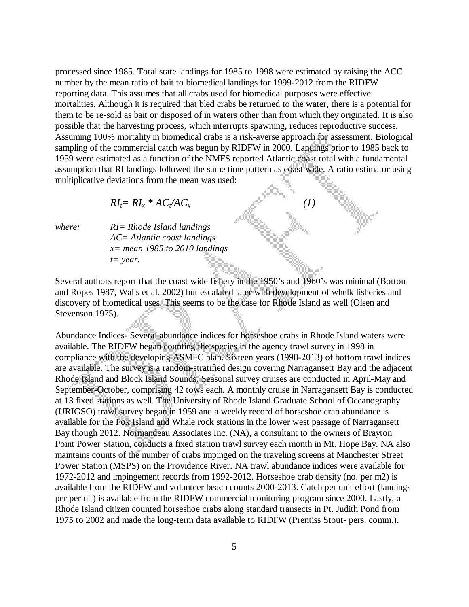processed since 1985. Total state landings for 1985 to 1998 were estimated by raising the ACC number by the mean ratio of bait to biomedical landings for 1999-2012 from the RIDFW reporting data. This assumes that all crabs used for biomedical purposes were effective mortalities. Although it is required that bled crabs be returned to the water, there is a potential for them to be re-sold as bait or disposed of in waters other than from which they originated. It is also possible that the harvesting process, which interrupts spawning, reduces reproductive success. Assuming 100% mortality in biomedical crabs is a risk-averse approach for assessment. Biological sampling of the commercial catch was begun by RIDFW in 2000. Landings prior to 1985 back to 1959 were estimated as a function of the NMFS reported Atlantic coast total with a fundamental assumption that RI landings followed the same time pattern as coast wide. A ratio estimator using multiplicative deviations from the mean was used:

$$
RI_t = RI_x * AC_t / AC_x \tag{1}
$$

*where: RI= Rhode Island landings AC= Atlantic coast landings x= mean 1985 to 2010 landings t= year.*

Several authors report that the coast wide fishery in the 1950's and 1960's was minimal (Botton and Ropes 1987, Walls et al. 2002) but escalated later with development of whelk fisheries and discovery of biomedical uses. This seems to be the case for Rhode Island as well (Olsen and Stevenson 1975).

Abundance Indices- Several abundance indices for horseshoe crabs in Rhode Island waters were available. The RIDFW began counting the species in the agency trawl survey in 1998 in compliance with the developing ASMFC plan. Sixteen years (1998-2013) of bottom trawl indices are available. The survey is a random-stratified design covering Narragansett Bay and the adjacent Rhode Island and Block Island Sounds. Seasonal survey cruises are conducted in April-May and September-October, comprising 42 tows each. A monthly cruise in Narragansett Bay is conducted at 13 fixed stations as well. The University of Rhode Island Graduate School of Oceanography (URIGSO) trawl survey began in 1959 and a weekly record of horseshoe crab abundance is available for the Fox Island and Whale rock stations in the lower west passage of Narragansett Bay though 2012. Normandeau Associates Inc. (NA), a consultant to the owners of Brayton Point Power Station, conducts a fixed station trawl survey each month in Mt. Hope Bay. NA also maintains counts of the number of crabs impinged on the traveling screens at Manchester Street Power Station (MSPS) on the Providence River. NA trawl abundance indices were available for 1972-2012 and impingement records from 1992-2012. Horseshoe crab density (no. per m2) is available from the RIDFW and volunteer beach counts 2000-2013. Catch per unit effort (landings per permit) is available from the RIDFW commercial monitoring program since 2000. Lastly, a Rhode Island citizen counted horseshoe crabs along standard transects in Pt. Judith Pond from 1975 to 2002 and made the long-term data available to RIDFW (Prentiss Stout- pers. comm.).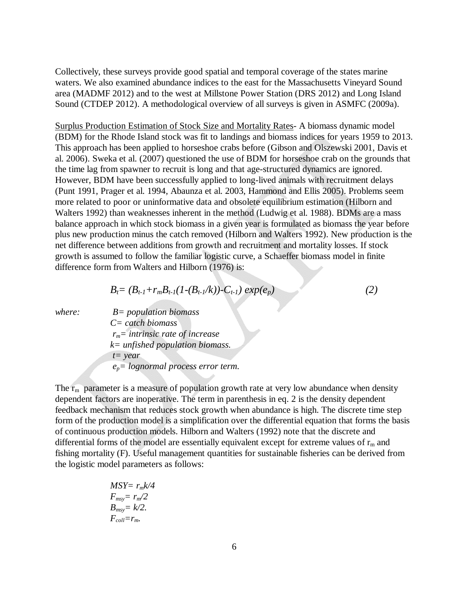Collectively, these surveys provide good spatial and temporal coverage of the states marine waters. We also examined abundance indices to the east for the Massachusetts Vineyard Sound area (MADMF 2012) and to the west at Millstone Power Station (DRS 2012) and Long Island Sound (CTDEP 2012). A methodological overview of all surveys is given in ASMFC (2009a).

Surplus Production Estimation of Stock Size and Mortality Rates- A biomass dynamic model (BDM) for the Rhode Island stock was fit to landings and biomass indices for years 1959 to 2013. This approach has been applied to horseshoe crabs before (Gibson and Olszewski 2001, Davis et al. 2006). Sweka et al. (2007) questioned the use of BDM for horseshoe crab on the grounds that the time lag from spawner to recruit is long and that age-structured dynamics are ignored. However, BDM have been successfully applied to long-lived animals with recruitment delays (Punt 1991, Prager et al. 1994, Abaunza et al. 2003, Hammond and Ellis 2005). Problems seem more related to poor or uninformative data and obsolete equilibrium estimation (Hilborn and Walters 1992) than weaknesses inherent in the method (Ludwig et al. 1988). BDMs are a mass balance approach in which stock biomass in a given year is formulated as biomass the year before plus new production minus the catch removed (Hilborn and Walters 1992). New production is the net difference between additions from growth and recruitment and mortality losses. If stock growth is assumed to follow the familiar logistic curve, a Schaeffer biomass model in finite difference form from Walters and Hilborn (1976) is:

$$
B_t = (B_{t-1} + r_m B_{t-1}(1 - (B_{t-1}/k)) - C_{t-1}) \exp(e_p)
$$
 (2)

*where: B= population biomass C= catch biomass rm= intrinsic rate of increase k= unfished population biomass. t= year ep= lognormal process error term.*

The  $r_m$  parameter is a measure of population growth rate at very low abundance when density dependent factors are inoperative. The term in parenthesis in eq. 2 is the density dependent feedback mechanism that reduces stock growth when abundance is high. The discrete time step form of the production model is a simplification over the differential equation that forms the basis of continuous production models. Hilborn and Walters (1992) note that the discrete and differential forms of the model are essentially equivalent except for extreme values of  $r_m$  and fishing mortality (F). Useful management quantities for sustainable fisheries can be derived from the logistic model parameters as follows:

$$
MSY = r_m k/4
$$
  
\n
$$
F_{msy} = r_m/2
$$
  
\n
$$
B_{msy} = k/2.
$$
  
\n
$$
F_{coll} = r_m.
$$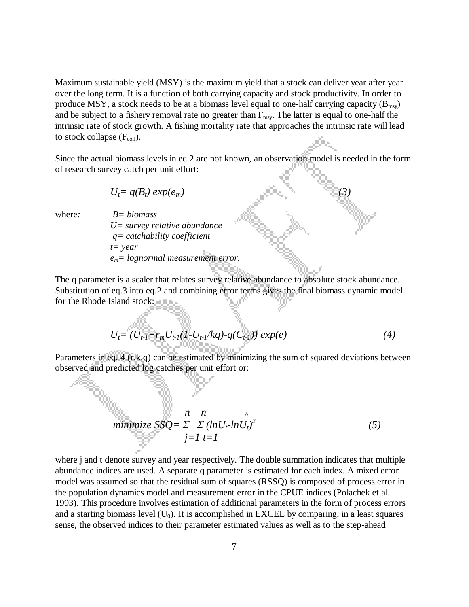Maximum sustainable yield (MSY) is the maximum yield that a stock can deliver year after year over the long term. It is a function of both carrying capacity and stock productivity. In order to produce MSY, a stock needs to be at a biomass level equal to one-half carrying capacity  $(B_{\text{msv}})$ and be subject to a fishery removal rate no greater than  $F_{\text{msy}}$ . The latter is equal to one-half the intrinsic rate of stock growth. A fishing mortality rate that approaches the intrinsic rate will lead to stock collapse  $(F_{coll})$ .

Since the actual biomass levels in eq.2 are not known, an observation model is needed in the form of research survey catch per unit effort:

$$
U_t = q(B_t) \exp(e_m) \tag{3}
$$

where*: B= biomass U= survey relative abundance q= catchability coefficient t= year em= lognormal measurement error.*

The q parameter is a scaler that relates survey relative abundance to absolute stock abundance. Substitution of eq.3 into eq.2 and combining error terms gives the final biomass dynamic model for the Rhode Island stock:

$$
U_t = (U_{t-1} + r_m U_{t-1} (1-U_{t-1}/kq) - q(C_{t-1})) \exp(e) \tag{4}
$$

Parameters in eq. 4 (r,k,q) can be estimated by minimizing the sum of squared deviations between observed and predicted log catches per unit effort or:

$$
minimize SSQ = \sum_{j=1}^{n} \sum_{t=1}^{n} (ln U_t \cdot ln U_t)^2
$$
\n(5)

where j and t denote survey and year respectively. The double summation indicates that multiple abundance indices are used. A separate q parameter is estimated for each index. A mixed error model was assumed so that the residual sum of squares (RSSQ) is composed of process error in the population dynamics model and measurement error in the CPUE indices (Polachek et al. 1993). This procedure involves estimation of additional parameters in the form of process errors and a starting biomass level  $(U_0)$ . It is accomplished in EXCEL by comparing, in a least squares sense, the observed indices to their parameter estimated values as well as to the step-ahead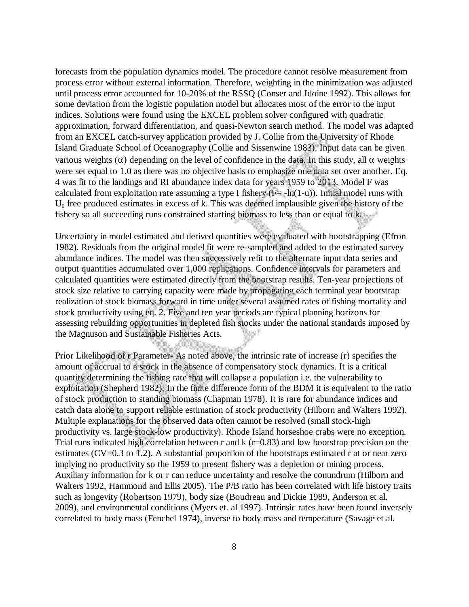forecasts from the population dynamics model. The procedure cannot resolve measurement from process error without external information. Therefore, weighting in the minimization was adjusted until process error accounted for 10-20% of the RSSQ (Conser and Idoine 1992). This allows for some deviation from the logistic population model but allocates most of the error to the input indices. Solutions were found using the EXCEL problem solver configured with quadratic approximation, forward differentiation, and quasi-Newton search method. The model was adapted from an EXCEL catch-survey application provided by J. Collie from the University of Rhode Island Graduate School of Oceanography (Collie and Sissenwine 1983). Input data can be given various weights (α) depending on the level of confidence in the data. In this study, all α weights were set equal to 1.0 as there was no objective basis to emphasize one data set over another. Eq. 4 was fit to the landings and RI abundance index data for years 1959 to 2013. Model F was calculated from exploitation rate assuming a type I fishery  $(F=-ln(1-u))$ . Initial model runs with  $U_0$  free produced estimates in excess of k. This was deemed implausible given the history of the fishery so all succeeding runs constrained starting biomass to less than or equal to k.

Uncertainty in model estimated and derived quantities were evaluated with bootstrapping (Efron 1982). Residuals from the original model fit were re-sampled and added to the estimated survey abundance indices. The model was then successively refit to the alternate input data series and output quantities accumulated over 1,000 replications. Confidence intervals for parameters and calculated quantities were estimated directly from the bootstrap results. Ten-year projections of stock size relative to carrying capacity were made by propagating each terminal year bootstrap realization of stock biomass forward in time under several assumed rates of fishing mortality and stock productivity using eq. 2. Five and ten year periods are typical planning horizons for assessing rebuilding opportunities in depleted fish stocks under the national standards imposed by the Magnuson and Sustainable Fisheries Acts.

Prior Likelihood of r Parameter- As noted above, the intrinsic rate of increase (r) specifies the amount of accrual to a stock in the absence of compensatory stock dynamics. It is a critical quantity determining the fishing rate that will collapse a population i.e. the vulnerability to exploitation (Shepherd 1982). In the finite difference form of the BDM it is equivalent to the ratio of stock production to standing biomass (Chapman 1978). It is rare for abundance indices and catch data alone to support reliable estimation of stock productivity (Hilborn and Walters 1992). Multiple explanations for the observed data often cannot be resolved (small stock-high productivity vs. large stock-low productivity). Rhode Island horseshoe crabs were no exception. Trial runs indicated high correlation between r and  $k$  (r=0.83) and low bootstrap precision on the estimates (CV=0.3 to 1.2). A substantial proportion of the bootstraps estimated r at or near zero implying no productivity so the 1959 to present fishery was a depletion or mining process. Auxiliary information for k or r can reduce uncertainty and resolve the conundrum (Hilborn and Walters 1992, Hammond and Ellis 2005). The P/B ratio has been correlated with life history traits such as longevity (Robertson 1979), body size (Boudreau and Dickie 1989, Anderson et al. 2009), and environmental conditions (Myers et. al 1997). Intrinsic rates have been found inversely correlated to body mass (Fenchel 1974), inverse to body mass and temperature (Savage et al.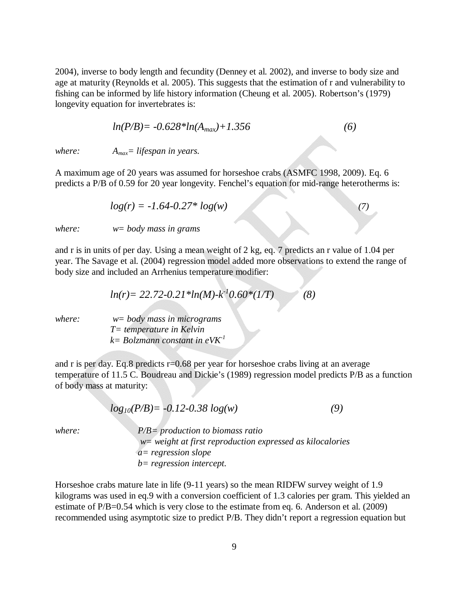2004), inverse to body length and fecundity (Denney et al. 2002), and inverse to body size and age at maturity (Reynolds et al. 2005). This suggests that the estimation of r and vulnerability to fishing can be informed by life history information (Cheung et al. 2005). Robertson's (1979) longevity equation for invertebrates is:

$$
ln(P/B) = -0.628 * ln(A_{max}) + 1.356
$$
 (6)

*where: Amax= lifespan in years.*

A maximum age of 20 years was assumed for horseshoe crabs (ASMFC 1998, 2009). Eq. 6 predicts a P/B of 0.59 for 20 year longevity. Fenchel's equation for mid-range heterotherms is:

$$
log(r) = -1.64 - 0.27 * log(w)
$$
\n(7)

*where: w= body mass in grams*

and r is in units of per day*.* Using a mean weight of 2 kg, eq. 7 predicts an r value of 1.04 per year. The Savage et al. (2004) regression model added more observations to extend the range of body size and included an Arrhenius temperature modifier:

$$
ln(r) = 22.72 - 0.21 * ln(M) - k^2 0.60 * (1/T)
$$
 (8)

*where: w= body mass in micrograms T= temperature in Kelvin k= Bolzmann constant in eVK-1*

and r is per day. Eq.8 predicts r=0.68 per year for horseshoe crabs living at an average temperature of 11.5 C. Boudreau and Dickie's (1989) regression model predicts P/B as a function of body mass at maturity:

$$
log_{10}(P/B) = -0.12 - 0.38 log(w)
$$
\n(9)

*where: P/B= production to biomass ratio w= weight at first reproduction expressed as kilocalories a= regression slope b= regression intercept.*

Horseshoe crabs mature late in life (9-11 years) so the mean RIDFW survey weight of 1.9 kilograms was used in eq.9 with a conversion coefficient of 1.3 calories per gram. This yielded an estimate of P/B=0.54 which is very close to the estimate from eq. 6. Anderson et al. (2009) recommended using asymptotic size to predict P/B. They didn't report a regression equation but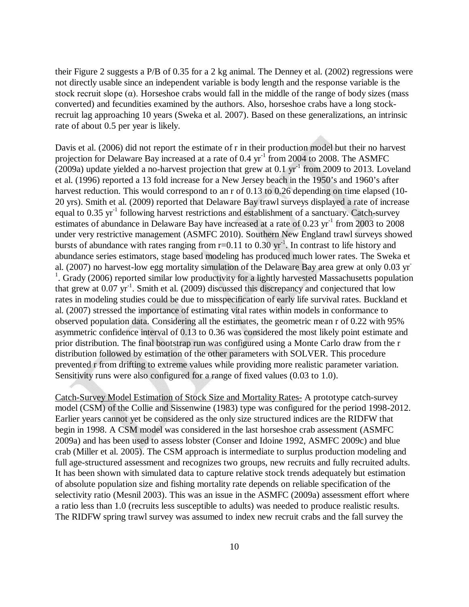their Figure 2 suggests a P/B of 0.35 for a 2 kg animal. The Denney et al. (2002) regressions were not directly usable since an independent variable is body length and the response variable is the stock recruit slope  $(\alpha)$ . Horseshoe crabs would fall in the middle of the range of body sizes (mass converted) and fecundities examined by the authors. Also, horseshoe crabs have a long stockrecruit lag approaching 10 years (Sweka et al. 2007). Based on these generalizations, an intrinsic rate of about 0.5 per year is likely.

Davis et al. (2006) did not report the estimate of r in their production model but their no harvest projection for Delaware Bay increased at a rate of 0.4 yr<sup>-1</sup> from 2004 to 2008. The ASMFC (2009a) update yielded a no-harvest projection that grew at  $0.1 \text{ yr}^{-1}$  from 2009 to 2013. Loveland et al. (1996) reported a 13 fold increase for a New Jersey beach in the 1950's and 1960's after harvest reduction. This would correspond to an r of 0.13 to 0.26 depending on time elapsed (10-20 yrs). Smith et al. (2009) reported that Delaware Bay trawl surveys displayed a rate of increase equal to 0.35 yr<sup>-1</sup> following harvest restrictions and establishment of a sanctuary. Catch-survey estimates of abundance in Delaware Bay have increased at a rate of 0.23 yr<sup>-1</sup> from 2003 to 2008 under very restrictive management (ASMFC 2010). Southern New England trawl surveys showed bursts of abundance with rates ranging from  $r=0.11$  to 0.30  $yr^{-1}$ . In contrast to life history and abundance series estimators, stage based modeling has produced much lower rates. The Sweka et al. (2007) no harvest-low egg mortality simulation of the Delaware Bay area grew at only 0.03 yr - <sup>1</sup>. Grady (2006) reported similar low productivity for a lightly harvested Massachusetts population that grew at  $0.07 \text{ yr}^{-1}$ . Smith et al. (2009) discussed this discrepancy and conjectured that low rates in modeling studies could be due to misspecification of early life survival rates. Buckland et al. (2007) stressed the importance of estimating vital rates within models in conformance to observed population data. Considering all the estimates, the geometric mean r of 0.22 with 95% asymmetric confidence interval of 0.13 to 0.36 was considered the most likely point estimate and prior distribution. The final bootstrap run was configured using a Monte Carlo draw from the r distribution followed by estimation of the other parameters with SOLVER. This procedure prevented r from drifting to extreme values while providing more realistic parameter variation. Sensitivity runs were also configured for a range of fixed values (0.03 to 1.0).

Catch-Survey Model Estimation of Stock Size and Mortality Rates- A prototype catch-survey model (CSM) of the Collie and Sissenwine (1983) type was configured for the period 1998-2012. Earlier years cannot yet be considered as the only size structured indices are the RIDFW that begin in 1998. A CSM model was considered in the last horseshoe crab assessment (ASMFC 2009a) and has been used to assess lobster (Conser and Idoine 1992, ASMFC 2009c) and blue crab (Miller et al. 2005). The CSM approach is intermediate to surplus production modeling and full age-structured assessment and recognizes two groups, new recruits and fully recruited adults. It has been shown with simulated data to capture relative stock trends adequately but estimation of absolute population size and fishing mortality rate depends on reliable specification of the selectivity ratio (Mesnil 2003). This was an issue in the ASMFC (2009a) assessment effort where a ratio less than 1.0 (recruits less susceptible to adults) was needed to produce realistic results. The RIDFW spring trawl survey was assumed to index new recruit crabs and the fall survey the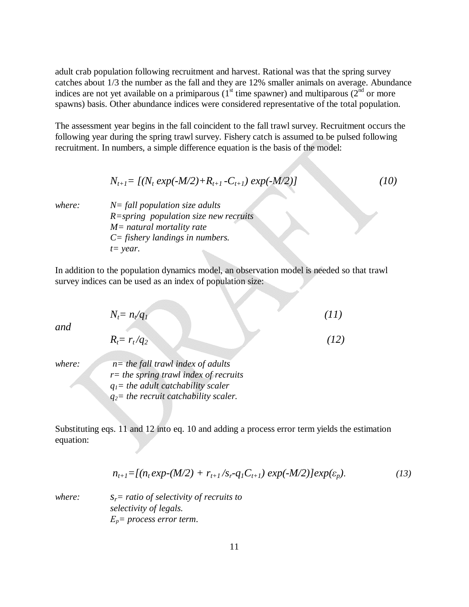adult crab population following recruitment and harvest. Rational was that the spring survey catches about 1/3 the number as the fall and they are 12% smaller animals on average. Abundance indices are not yet available on a primiparous ( $1<sup>st</sup>$  time spawner) and multiparous ( $2<sup>nd</sup>$  or more spawns) basis. Other abundance indices were considered representative of the total population.

The assessment year begins in the fall coincident to the fall trawl survey. Recruitment occurs the following year during the spring trawl survey. Fishery catch is assumed to be pulsed following recruitment. In numbers, a simple difference equation is the basis of the model:

$$
N_{t+1} = [(N_t \exp(-M/2) + R_{t+1} - C_{t+1}) \exp(-M/2)] \tag{10}
$$

*where: N= fall population size adults R=spring population size new recruits M= natural mortality rate C= fishery landings in numbers. t= year*.

In addition to the population dynamics model, an observation model is needed so that trawl survey indices can be used as an index of population size:

*Nt= nt/q1 (11) and Rt= rt /q2 (12) where: n= the fall trawl index of adults r= the spring trawl index of recruits q1= the adult catchability scaler q2= the recruit catchability scaler.*

Substituting eqs. 11 and 12 into eq. 10 and adding a process error term yields the estimation equation:

$$
n_{t+1} = [(n_t \exp{-(M/2)} + r_{t+1}/s_r - q_1 C_{t+1}) \exp{-(M/2)}] \exp(\varepsilon_p).
$$
 (13)

*where: sr= ratio of selectivity of recruits to selectivity of legals. Εp= process error term*.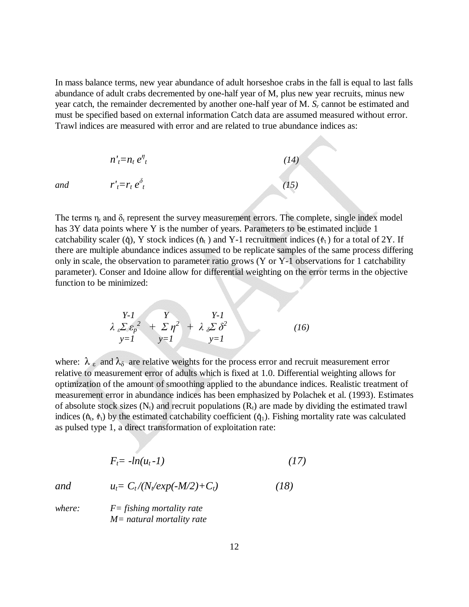In mass balance terms, new year abundance of adult horseshoe crabs in the fall is equal to last falls abundance of adult crabs decremented by one-half year of M, plus new year recruits, minus new year catch, the remainder decremented by another one-half year of M. *S<sup>r</sup>* cannot be estimated and must be specified based on external information Catch data are assumed measured without error. Trawl indices are measured with error and are related to true abundance indices as:

$$
n'_{t} = n_{t} e^{\eta}_{t}
$$
\n
$$
r'_{t} = r_{t} e^{\delta}_{t}
$$
\n(14)\n(15)

*and* 

The terms  $\eta_t$  and  $\delta_t$  represent the survey measurement errors. The complete, single index model has 3Y data points where Y is the number of years. Parameters to be estimated include 1 catchability scaler ( $\phi$ ), Y stock indices ( $\phi$ <sub>t</sub>) and Y-1 recruitment indices ( $\phi$ <sub>t</sub>) for a total of 2Y. If there are multiple abundance indices assumed to be replicate samples of the same process differing only in scale, the observation to parameter ratio grows (Y or Y-1 observations for 1 catchability parameter). Conser and Idoine allow for differential weighting on the error terms in the objective function to be minimized:

$$
\begin{array}{ccc}\nY-I & Y & Y-I \\
\lambda \, _{c}\Sigma \, \varepsilon_{p}^{2} & + \Sigma \, \eta^{2} + \lambda \, _{s}\Sigma \, \delta^{2} \\
y=I & y=I\n\end{array}
$$
\n(16)

where:  $\lambda_{\varepsilon}$  and  $\lambda_{\delta}$  are relative weights for the process error and recruit measurement error relative to measurement error of adults which is fixed at 1.0. Differential weighting allows for optimization of the amount of smoothing applied to the abundance indices. Realistic treatment of measurement error in abundance indices has been emphasized by Polachek et al. (1993). Estimates of absolute stock sizes  $(N_t)$  and recruit populations  $(R_t)$  are made by dividing the estimated trawl indices  $(h_t, f_t)$  by the estimated catchability coefficient  $(q_1)$ . Fishing mortality rate was calculated as pulsed type 1, a direct transformation of exploitation rate:

$$
F_t = -\ln(u_t - 1) \tag{17}
$$

*and*  $u_t = C_t / (N / exp(-M/2) + C_t)$  (18)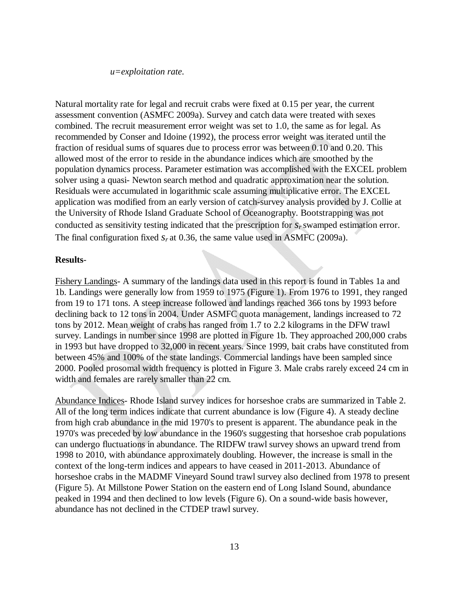#### *u=exploitation rate.*

Natural mortality rate for legal and recruit crabs were fixed at 0.15 per year, the current assessment convention (ASMFC 2009a). Survey and catch data were treated with sexes combined. The recruit measurement error weight was set to 1.0, the same as for legal. As recommended by Conser and Idoine (1992), the process error weight was iterated until the fraction of residual sums of squares due to process error was between 0.10 and 0.20. This allowed most of the error to reside in the abundance indices which are smoothed by the population dynamics process. Parameter estimation was accomplished with the EXCEL problem solver using a quasi- Newton search method and quadratic approximation near the solution. Residuals were accumulated in logarithmic scale assuming multiplicative error. The EXCEL application was modified from an early version of catch-survey analysis provided by J. Collie at the University of Rhode Island Graduate School of Oceanography. Bootstrapping was not conducted as sensitivity testing indicated that the prescription for *s<sup>r</sup>* swamped estimation error. The final configuration fixed  $s<sub>r</sub>$  at 0.36, the same value used in ASMFC (2009a).

# **Results**-

Fishery Landings- A summary of the landings data used in this report is found in Tables 1a and 1b. Landings were generally low from 1959 to 1975 (Figure 1). From 1976 to 1991, they ranged from 19 to 171 tons. A steep increase followed and landings reached 366 tons by 1993 before declining back to 12 tons in 2004. Under ASMFC quota management, landings increased to 72 tons by 2012. Mean weight of crabs has ranged from 1.7 to 2.2 kilograms in the DFW trawl survey. Landings in number since 1998 are plotted in Figure 1b. They approached 200,000 crabs in 1993 but have dropped to 32,000 in recent years. Since 1999, bait crabs have constituted from between 45% and 100% of the state landings. Commercial landings have been sampled since 2000. Pooled prosomal width frequency is plotted in Figure 3. Male crabs rarely exceed 24 cm in width and females are rarely smaller than 22 cm.

Abundance Indices- Rhode Island survey indices for horseshoe crabs are summarized in Table 2. All of the long term indices indicate that current abundance is low (Figure 4). A steady decline from high crab abundance in the mid 1970's to present is apparent. The abundance peak in the 1970's was preceded by low abundance in the 1960's suggesting that horseshoe crab populations can undergo fluctuations in abundance. The RIDFW trawl survey shows an upward trend from 1998 to 2010, with abundance approximately doubling. However, the increase is small in the context of the long-term indices and appears to have ceased in 2011-2013. Abundance of horseshoe crabs in the MADMF Vineyard Sound trawl survey also declined from 1978 to present (Figure 5). At Millstone Power Station on the eastern end of Long Island Sound, abundance peaked in 1994 and then declined to low levels (Figure 6). On a sound-wide basis however, abundance has not declined in the CTDEP trawl survey.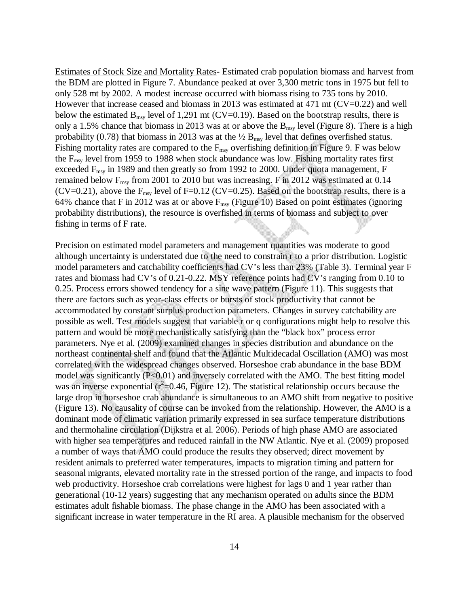Estimates of Stock Size and Mortality Rates- Estimated crab population biomass and harvest from the BDM are plotted in Figure 7. Abundance peaked at over 3,300 metric tons in 1975 but fell to only 528 mt by 2002. A modest increase occurred with biomass rising to 735 tons by 2010. However that increase ceased and biomass in 2013 was estimated at  $471 \text{ mt } (CV=0.22)$  and well below the estimated  $B_{\text{msy}}$  level of 1,291 mt (CV=0.19). Based on the bootstrap results, there is only a 1.5% chance that biomass in 2013 was at or above the  $B_{\text{msy}}$  level (Figure 8). There is a high probability (0.78) that biomass in 2013 was at the  $\frac{1}{2}$  B<sub>msy</sub> level that defines overfished status. Fishing mortality rates are compared to the  $F_{\text{msy}}$  overfishing definition in Figure 9. F was below the  $F_{\text{msv}}$  level from 1959 to 1988 when stock abundance was low. Fishing mortality rates first exceeded F<sub>msy</sub> in 1989 and then greatly so from 1992 to 2000. Under quota management, F remained below F<sub>msy</sub> from 2001 to 2010 but was increasing. F in 2012 was estimated at 0.14 (CV=0.21), above the  $F_{\text{msy}}$  level of F=0.12 (CV=0.25). Based on the bootstrap results, there is a 64% chance that F in 2012 was at or above  $F_{\text{msy}}$  (Figure 10) Based on point estimates (ignoring probability distributions), the resource is overfished in terms of biomass and subject to over fishing in terms of F rate.

Precision on estimated model parameters and management quantities was moderate to good although uncertainty is understated due to the need to constrain r to a prior distribution. Logistic model parameters and catchability coefficients had CV's less than 23% (Table 3). Terminal year F rates and biomass had CV's of 0.21-0.22. MSY reference points had CV's ranging from 0.10 to 0.25. Process errors showed tendency for a sine wave pattern (Figure 11). This suggests that there are factors such as year-class effects or bursts of stock productivity that cannot be accommodated by constant surplus production parameters. Changes in survey catchability are possible as well. Test models suggest that variable r or q configurations might help to resolve this pattern and would be more mechanistically satisfying than the "black box" process error parameters. Nye et al. (2009) examined changes in species distribution and abundance on the northeast continental shelf and found that the Atlantic Multidecadal Oscillation (AMO) was most correlated with the widespread changes observed. Horseshoe crab abundance in the base BDM model was significantly (P<0.01) and inversely correlated with the AMO. The best fitting model was an inverse exponential ( $r^2$ =0.46, Figure 12). The statistical relationship occurs because the large drop in horseshoe crab abundance is simultaneous to an AMO shift from negative to positive (Figure 13). No causality of course can be invoked from the relationship. However, the AMO is a dominant mode of climatic variation primarily expressed in sea surface temperature distributions and thermohaline circulation (Dijkstra et al. 2006). Periods of high phase AMO are associated with higher sea temperatures and reduced rainfall in the NW Atlantic. Nye et al. (2009) proposed a number of ways that AMO could produce the results they observed; direct movement by resident animals to preferred water temperatures, impacts to migration timing and pattern for seasonal migrants, elevated mortality rate in the stressed portion of the range, and impacts to food web productivity. Horseshoe crab correlations were highest for lags 0 and 1 year rather than generational (10-12 years) suggesting that any mechanism operated on adults since the BDM estimates adult fishable biomass. The phase change in the AMO has been associated with a significant increase in water temperature in the RI area. A plausible mechanism for the observed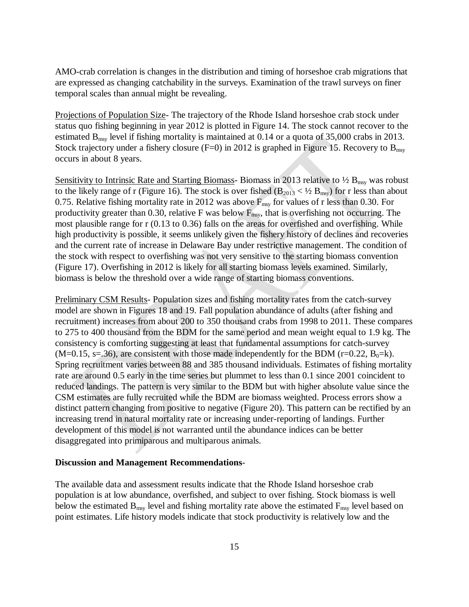AMO-crab correlation is changes in the distribution and timing of horseshoe crab migrations that are expressed as changing catchability in the surveys. Examination of the trawl surveys on finer temporal scales than annual might be revealing.

Projections of Population Size- The trajectory of the Rhode Island horseshoe crab stock under status quo fishing beginning in year 2012 is plotted in Figure 14. The stock cannot recover to the estimated  $B_{\text{msy}}$  level if fishing mortality is maintained at 0.14 or a quota of 35,000 crabs in 2013. Stock trajectory under a fishery closure (F=0) in 2012 is graphed in Figure 15. Recovery to  $B_{msv}$ occurs in about 8 years.

Sensitivity to Intrinsic Rate and Starting Biomass- Biomass in 2013 relative to  $\frac{1}{2}B_{\text{msy}}$  was robust to the likely range of r (Figure 16). The stock is over fished  $(B_{2013} < \frac{1}{2} B_{msy})$  for r less than about 0.75. Relative fishing mortality rate in 2012 was above  $F_{\text{msy}}$  for values of r less than 0.30. For productivity greater than 0.30, relative F was below  $F_{\text{msy}}$ , that is overfishing not occurring. The most plausible range for r (0.13 to 0.36) falls on the areas for overfished and overfishing. While high productivity is possible, it seems unlikely given the fishery history of declines and recoveries and the current rate of increase in Delaware Bay under restrictive management. The condition of the stock with respect to overfishing was not very sensitive to the starting biomass convention (Figure 17). Overfishing in 2012 is likely for all starting biomass levels examined. Similarly, biomass is below the threshold over a wide range of starting biomass conventions.

Preliminary CSM Results- Population sizes and fishing mortality rates from the catch-survey model are shown in Figures 18 and 19. Fall population abundance of adults (after fishing and recruitment) increases from about 200 to 350 thousand crabs from 1998 to 2011. These compares to 275 to 400 thousand from the BDM for the same period and mean weight equal to 1.9 kg. The consistency is comforting suggesting at least that fundamental assumptions for catch-survey  $(M=0.15, s=.36)$ , are consistent with those made independently for the BDM (r=0.22, B<sub>0</sub>=k). Spring recruitment varies between 88 and 385 thousand individuals. Estimates of fishing mortality rate are around 0.5 early in the time series but plummet to less than 0.1 since 2001 coincident to reduced landings. The pattern is very similar to the BDM but with higher absolute value since the CSM estimates are fully recruited while the BDM are biomass weighted. Process errors show a distinct pattern changing from positive to negative (Figure 20). This pattern can be rectified by an increasing trend in natural mortality rate or increasing under-reporting of landings. Further development of this model is not warranted until the abundance indices can be better disaggregated into primiparous and multiparous animals.

#### **Discussion and Management Recommendations**-

The available data and assessment results indicate that the Rhode Island horseshoe crab population is at low abundance, overfished, and subject to over fishing. Stock biomass is well below the estimated  $B_{msy}$  level and fishing mortality rate above the estimated  $F_{msy}$  level based on point estimates. Life history models indicate that stock productivity is relatively low and the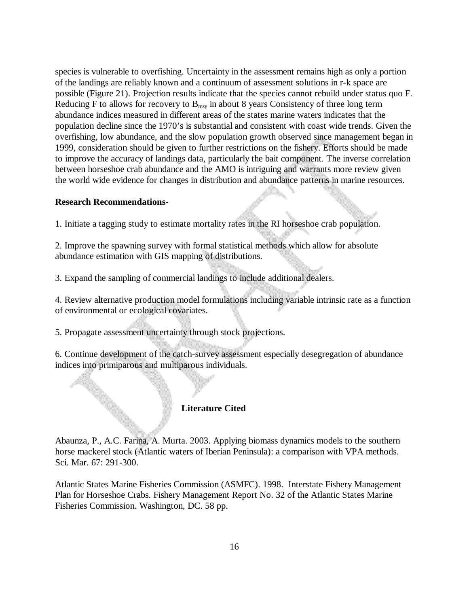species is vulnerable to overfishing. Uncertainty in the assessment remains high as only a portion of the landings are reliably known and a continuum of assessment solutions in r-k space are possible (Figure 21). Projection results indicate that the species cannot rebuild under status quo F. Reducing F to allows for recovery to  $B_{\text{msv}}$  in about 8 years Consistency of three long term abundance indices measured in different areas of the states marine waters indicates that the population decline since the 1970's is substantial and consistent with coast wide trends. Given the overfishing, low abundance, and the slow population growth observed since management began in 1999, consideration should be given to further restrictions on the fishery. Efforts should be made to improve the accuracy of landings data, particularly the bait component. The inverse correlation between horseshoe crab abundance and the AMO is intriguing and warrants more review given the world wide evidence for changes in distribution and abundance patterns in marine resources.

# **Research Recommendations**-

1. Initiate a tagging study to estimate mortality rates in the RI horseshoe crab population.

2. Improve the spawning survey with formal statistical methods which allow for absolute abundance estimation with GIS mapping of distributions.

3. Expand the sampling of commercial landings to include additional dealers.

4. Review alternative production model formulations including variable intrinsic rate as a function of environmental or ecological covariates.

5. Propagate assessment uncertainty through stock projections.

6. Continue development of the catch-survey assessment especially desegregation of abundance indices into primiparous and multiparous individuals.

# **Literature Cited**

Abaunza, P., A.C. Farina, A. Murta. 2003. Applying biomass dynamics models to the southern horse mackerel stock (Atlantic waters of Iberian Peninsula): a comparison with VPA methods. Sci. Mar. 67: 291-300.

Atlantic States Marine Fisheries Commission (ASMFC). 1998. Interstate Fishery Management Plan for Horseshoe Crabs. Fishery Management Report No. 32 of the Atlantic States Marine Fisheries Commission. Washington, DC. 58 pp.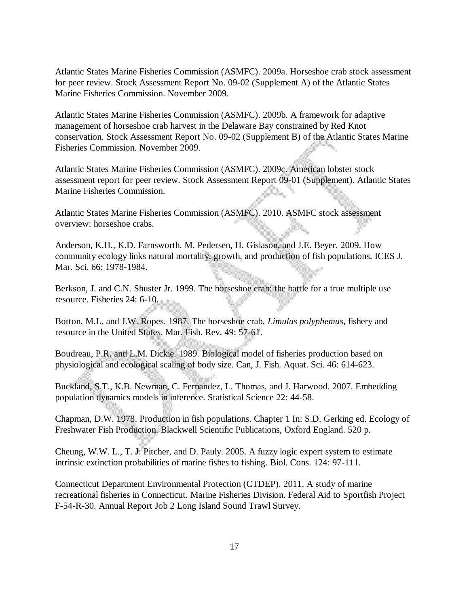Atlantic States Marine Fisheries Commission (ASMFC). 2009a. Horseshoe crab stock assessment for peer review. Stock Assessment Report No. 09-02 (Supplement A) of the Atlantic States Marine Fisheries Commission. November 2009.

Atlantic States Marine Fisheries Commission (ASMFC). 2009b. A framework for adaptive management of horseshoe crab harvest in the Delaware Bay constrained by Red Knot conservation. Stock Assessment Report No. 09-02 (Supplement B) of the Atlantic States Marine Fisheries Commission. November 2009.

Atlantic States Marine Fisheries Commission (ASMFC). 2009c. American lobster stock assessment report for peer review. Stock Assessment Report 09-01 (Supplement). Atlantic States Marine Fisheries Commission.

Atlantic States Marine Fisheries Commission (ASMFC). 2010. ASMFC stock assessment overview: horseshoe crabs.

Anderson, K.H., K.D. Farnsworth, M. Pedersen, H. Gislason, and J.E. Beyer. 2009. How community ecology links natural mortality, growth, and production of fish populations. ICES J. Mar. Sci. 66: 1978-1984.

Berkson, J. and C.N. Shuster Jr. 1999. The horseshoe crab: the battle for a true multiple use resource. Fisheries 24: 6-10.

Botton, M.L. and J.W. Ropes. 1987. The horseshoe crab, *Limulus polyphemus*, fishery and resource in the United States. Mar. Fish. Rev. 49: 57-61.

Boudreau, P.R. and L.M. Dickie. 1989. Biological model of fisheries production based on physiological and ecological scaling of body size. Can, J. Fish. Aquat. Sci. 46: 614-623.

Buckland, S.T., K.B. Newman, C. Fernandez, L. Thomas, and J. Harwood. 2007. Embedding population dynamics models in inference. Statistical Science 22: 44-58.

Chapman, D.W. 1978. Production in fish populations. Chapter 1 In: S.D. Gerking ed. Ecology of Freshwater Fish Production. Blackwell Scientific Publications, Oxford England. 520 p.

Cheung, W.W. L., T. J. Pitcher, and D. Pauly. 2005. A fuzzy logic expert system to estimate intrinsic extinction probabilities of marine fishes to fishing. Biol. Cons. 124: 97-111.

Connecticut Department Environmental Protection (CTDEP). 2011. A study of marine recreational fisheries in Connecticut. Marine Fisheries Division. Federal Aid to Sportfish Project F-54-R-30. Annual Report Job 2 Long Island Sound Trawl Survey.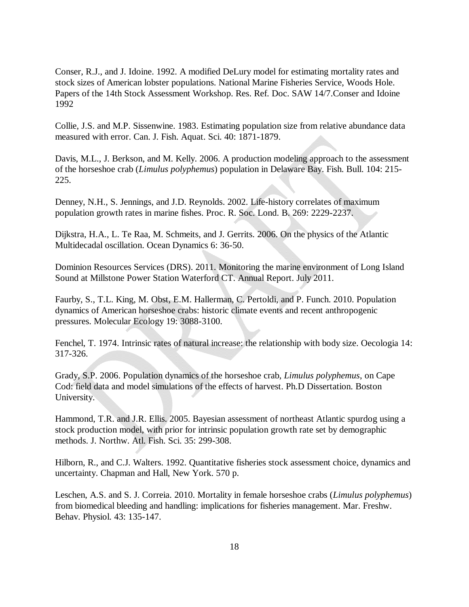Conser, R.J., and J. Idoine. 1992. A modified DeLury model for estimating mortality rates and stock sizes of American lobster populations. National Marine Fisheries Service, Woods Hole. Papers of the 14th Stock Assessment Workshop. Res. Ref. Doc. SAW 14/7.Conser and Idoine 1992

Collie, J.S. and M.P. Sissenwine. 1983. Estimating population size from relative abundance data measured with error. Can. J. Fish. Aquat. Sci. 40: 1871-1879.

Davis, M.L., J. Berkson, and M. Kelly. 2006. A production modeling approach to the assessment of the horseshoe crab (*Limulus polyphemus*) population in Delaware Bay. Fish. Bull. 104: 215- 225.

Denney, N.H., S. Jennings, and J.D. Reynolds. 2002. Life-history correlates of maximum population growth rates in marine fishes. Proc. R. Soc. Lond. B. 269: 2229-2237.

Dijkstra, H.A., L. Te Raa, M. Schmeits, and J. Gerrits. 2006. On the physics of the Atlantic Multidecadal oscillation. Ocean Dynamics 6: 36-50.

Dominion Resources Services (DRS). 2011. Monitoring the marine environment of Long Island Sound at Millstone Power Station Waterford CT. Annual Report. July 2011.

Faurby, S., T.L. King, M. Obst, E.M. Hallerman, C. Pertoldi, and P. Funch. 2010. Population dynamics of American horseshoe crabs: historic climate events and recent anthropogenic pressures. Molecular Ecology 19: 3088-3100.

Fenchel, T. 1974. Intrinsic rates of natural increase: the relationship with body size. Oecologia 14: 317-326.

Grady, S.P. 2006. Population dynamics of the horseshoe crab, *Limulus polyphemus*, on Cape Cod: field data and model simulations of the effects of harvest. Ph.D Dissertation. Boston University.

Hammond, T.R. and J.R. Ellis. 2005. Bayesian assessment of northeast Atlantic spurdog using a stock production model, with prior for intrinsic population growth rate set by demographic methods. J. Northw. Atl. Fish. Sci. 35: 299-308.

Hilborn, R., and C.J. Walters. 1992. Quantitative fisheries stock assessment choice, dynamics and uncertainty. Chapman and Hall, New York. 570 p.

Leschen, A.S. and S. J. Correia. 2010. Mortality in female horseshoe crabs (*Limulus polyphemus*) from biomedical bleeding and handling: implications for fisheries management. Mar. Freshw. Behav. Physiol. 43: 135-147.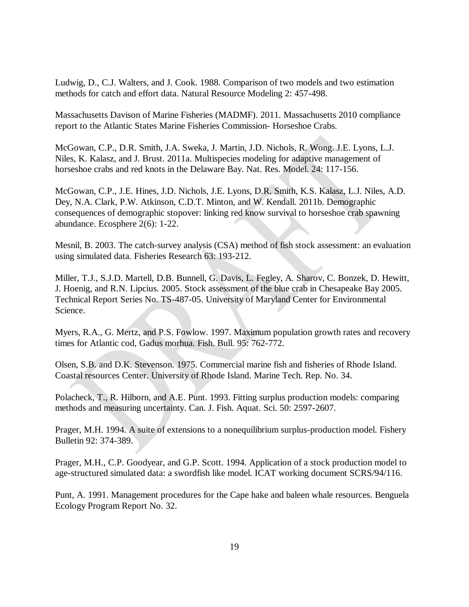Ludwig, D., C.J. Walters, and J. Cook. 1988. Comparison of two models and two estimation methods for catch and effort data. Natural Resource Modeling 2: 457-498.

Massachusetts Davison of Marine Fisheries (MADMF). 2011. Massachusetts 2010 compliance report to the Atlantic States Marine Fisheries Commission- Horseshoe Crabs.

McGowan, C.P., D.R. Smith, J.A. Sweka, J. Martin, J.D. Nichols, R. Wong. J.E. Lyons, L.J. Niles, K. Kalasz, and J. Brust. 2011a. Multispecies modeling for adaptive management of horseshoe crabs and red knots in the Delaware Bay. Nat. Res. Model. 24: 117-156.

McGowan, C.P., J.E. Hines, J.D. Nichols, J.E. Lyons, D.R. Smith, K.S. Kalasz, L.J. Niles, A.D. Dey, N.A. Clark, P.W. Atkinson, C.D.T. Minton, and W. Kendall. 2011b. Demographic consequences of demographic stopover: linking red know survival to horseshoe crab spawning abundance. Ecosphere 2(6): 1-22.

Mesnil, B. 2003. The catch-survey analysis (CSA) method of fish stock assessment: an evaluation using simulated data. Fisheries Research 63: 193-212.

Miller, T.J., S.J.D. Martell, D.B. Bunnell, G. Davis, L. Fegley, A. Sharov, C. Bonzek, D. Hewitt, J. Hoenig, and R.N. Lipcius. 2005. Stock assessment of the blue crab in Chesapeake Bay 2005. Technical Report Series No. TS-487-05. University of Maryland Center for Environmental Science.

Myers, R.A., G. Mertz, and P.S. Fowlow. 1997. Maximum population growth rates and recovery times for Atlantic cod, Gadus morhua. Fish. Bull. 95: 762-772.

Olsen, S.B. and D.K. Stevenson. 1975. Commercial marine fish and fisheries of Rhode Island. Coastal resources Center. University of Rhode Island. Marine Tech. Rep. No. 34.

Polacheck, T., R. Hilborn, and A.E. Punt. 1993. Fitting surplus production models: comparing methods and measuring uncertainty. Can. J. Fish. Aquat. Sci. 50: 2597-2607.

Prager, M.H. 1994. A suite of extensions to a nonequilibrium surplus-production model. Fishery Bulletin 92: 374-389.

Prager, M.H., C.P. Goodyear, and G.P. Scott. 1994. Application of a stock production model to age-structured simulated data: a swordfish like model. ICAT working document SCRS/94/116.

Punt, A. 1991. Management procedures for the Cape hake and baleen whale resources. Benguela Ecology Program Report No. 32.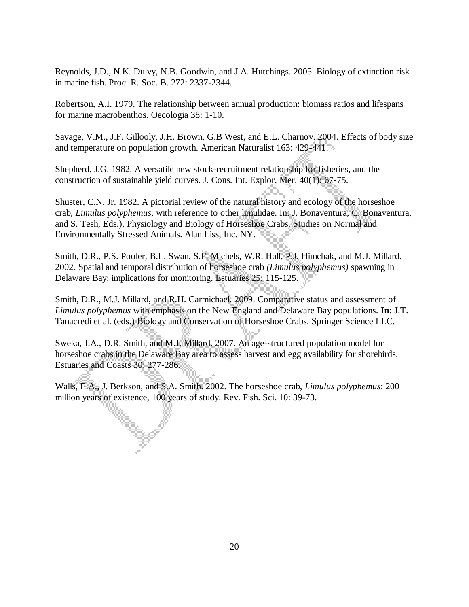Reynolds, J.D., N.K. Dulvy, N.B. Goodwin, and J.A. Hutchings. 2005. Biology of extinction risk in marine fish. Proc. R. Soc. B. 272: 2337-2344.

Robertson, A.I. 1979. The relationship between annual production: biomass ratios and lifespans for marine macrobenthos. Oecologia 38: 1-10.

Savage, V.M., J.F. Gillooly, J.H. Brown, G.B West, and E.L. Charnov. 2004. Effects of body size and temperature on population growth. American Naturalist 163: 429-441.

Shepherd, J.G. 1982. A versatile new stock-recruitment relationship for fisheries, and the construction of sustainable yield curves. J. Cons. Int. Explor. Mer. 40(1): 67-75.

Shuster, C.N. Jr. 1982. A pictorial review of the natural history and ecology of the horseshoe crab, *Limulus polyphemus*, with reference to other limulidae. In: J. Bonaventura, C. Bonaventura, and S. Tesh, Eds.), Physiology and Biology of Horseshoe Crabs. Studies on Normal and Environmentally Stressed Animals. Alan Liss, Inc. NY.

Smith, D.R., P.S. Pooler, B.L. Swan, S.F. Michels, W.R. Hall, P.J. Himchak, and M.J. Millard. 2002. Spatial and temporal distribution of horseshoe crab *(Limulus polyphemus)* spawning in Delaware Bay: implications for monitoring. Estuaries 25: 115-125.

Smith, D.R., M.J. Millard, and R.H. Carmichael. 2009. Comparative status and assessment of *Limulus polyphemus* with emphasis on the New England and Delaware Bay populations. **In**: J.T. Tanacredi et al. (eds.) Biology and Conservation of Horseshoe Crabs. Springer Science LLC.

Sweka, J.A., D.R. Smith, and M.J. Millard. 2007. An age-structured population model for horseshoe crabs in the Delaware Bay area to assess harvest and egg availability for shorebirds. Estuaries and Coasts 30: 277-286.

Walls, E.A., J. Berkson, and S.A. Smith. 2002. The horseshoe crab, *Limulus polyphemus*: 200 million years of existence, 100 years of study. Rev. Fish. Sci. 10: 39-73.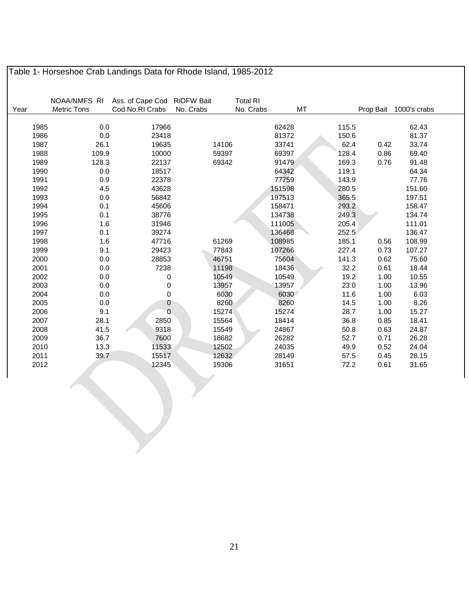|      | NOAA/NMFS RI       | Ass. of Cape Cod RIDFW Bait |           | <b>Total RI</b> |       |           |              |
|------|--------------------|-----------------------------|-----------|-----------------|-------|-----------|--------------|
| Year | <b>Metric Tons</b> | Cod No.RI Crabs             | No. Crabs | No. Crabs       | MT    | Prop Bait | 1000's crabs |
| 1985 | 0.0                | 17966                       |           | 62428           | 115.5 |           | 62.43        |
| 1986 | 0.0                | 23418                       |           | 81372           | 150.6 |           | 81.37        |
| 1987 | 26.1               | 19635                       | 14106     | 33741           | 62.4  | 0.42      | 33.74        |
| 1988 | 109.9              | 10000                       | 59397     | 69397           | 128.4 | 0.86      | 69.40        |
| 1989 | 128.3              | 22137                       | 69342     | 91479           | 169.3 | 0.76      | 91.48        |
| 1990 | 0.0                | 18517                       |           | 64342           | 119.1 |           | 64.34        |
| 1991 | 0.9                | 22378                       |           | 77759           | 143.9 |           | 77.76        |
| 1992 | 4.5                | 43628                       |           | 151598          | 280.5 |           | 151.60       |
| 1993 | 0.0                | 56842                       |           | 197513          | 365.5 |           | 197.51       |
| 1994 | 0.1                | 45606                       |           | 158471          | 293.2 |           | 158.47       |
| 1995 | 0.1                | 38776                       |           | 134738          | 249.3 |           | 134.74       |
| 1996 | 1.6                | 31946                       |           | 111005          | 205.4 |           | 111.01       |
| 1997 | 0.1                | 39274                       |           | 136468          | 252.5 |           | 136.47       |
| 1998 | 1.6                | 47716                       | 61269     | 108985          | 185.1 | 0.56      | 108.99       |
| 1999 | 9.1                | 29423                       | 77843     | 107266          | 227.4 | 0.73      | 107.27       |
| 2000 | 0.0                | 28853                       | 46751     | 75604           | 141.3 | 0.62      | 75.60        |
| 2001 | 0.0                | 7238                        | 11198     | 18436           | 32.2  | 0.61      | 18.44        |
| 2002 | 0.0                | 0                           | 10549     | 10549           | 19.2  | 1.00      | 10.55        |
| 2003 | 0.0                | 0                           | 13957     | 13957           | 23.0  | 1.00      | 13.96        |
| 2004 | 0.0                | 0                           | 6030      | 6030            | 11.6  | 1.00      | 6.03         |
| 2005 | 0.0                | $\boldsymbol{0}$            | 8260      | 8260            | 14.5  | 1.00      | 8.26         |
| 2006 | 9.1                | $\Omega$                    | 15274     | 15274           | 28.7  | 1.00      | 15.27        |
| 2007 | 28.1               | 2850                        | 15564     | 18414           | 36.8  | 0.85      | 18.41        |
| 2008 | 41.5               | 9318                        | 15549     | 24867           | 50.8  | 0.63      | 24.87        |
| 2009 | 36.7               | 7600                        | 18682     | 26282           | 52.7  | 0.71      | 26.28        |
| 2010 | 13.3               | 11533                       | 12502     | 24035           | 49.9  | 0.52      | 24.04        |
| 2011 | 39.7               | 15517                       | 12632     | 28149           | 57.5  | 0.45      | 28.15        |
| 2012 |                    | 12345                       | 19306     | 31651           | 72.2  | 0.61      | 31.65        |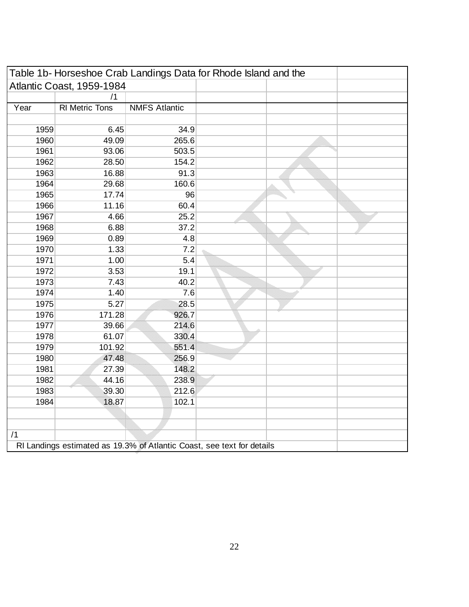|      |                           |                      | Table 1b-Horseshoe Crab Landings Data for Rhode Island and the         |
|------|---------------------------|----------------------|------------------------------------------------------------------------|
|      | Atlantic Coast, 1959-1984 |                      |                                                                        |
|      | /1                        |                      |                                                                        |
| Year | <b>RI</b> Metric Tons     | <b>NMFS Atlantic</b> |                                                                        |
|      |                           |                      |                                                                        |
| 1959 | 6.45                      | 34.9                 |                                                                        |
| 1960 | 49.09                     | 265.6                |                                                                        |
| 1961 | 93.06                     | 503.5                |                                                                        |
| 1962 | 28.50                     | 154.2                |                                                                        |
| 1963 | 16.88                     | 91.3                 |                                                                        |
| 1964 | 29.68                     | 160.6                |                                                                        |
| 1965 | 17.74                     | 96                   |                                                                        |
| 1966 | 11.16                     | 60.4                 |                                                                        |
| 1967 | 4.66                      | 25.2                 |                                                                        |
| 1968 | 6.88                      | 37.2                 |                                                                        |
| 1969 | 0.89                      | 4.8                  |                                                                        |
| 1970 | 1.33                      | 7.2                  |                                                                        |
| 1971 | 1.00                      | 5.4                  |                                                                        |
| 1972 | 3.53                      | 19.1                 |                                                                        |
| 1973 | 7.43                      | 40.2                 |                                                                        |
| 1974 | 1.40                      | 7.6                  |                                                                        |
| 1975 | 5.27                      | 28.5                 |                                                                        |
| 1976 | 171.28                    | 926.7                |                                                                        |
| 1977 | 39.66                     | 214.6                |                                                                        |
| 1978 | 61.07                     | 330.4                |                                                                        |
| 1979 | 101.92                    | 551.4                |                                                                        |
| 1980 | 47.48                     | 256.9                |                                                                        |
| 1981 | 27.39                     | 148.2                |                                                                        |
| 1982 | 44.16                     | 238.9                |                                                                        |
| 1983 | 39.30                     | 212.6                |                                                                        |
| 1984 | 18.87                     | 102.1                |                                                                        |
|      |                           |                      |                                                                        |
|      |                           |                      |                                                                        |
| /1   |                           |                      |                                                                        |
|      |                           |                      | RI Landings estimated as 19.3% of Atlantic Coast, see text for details |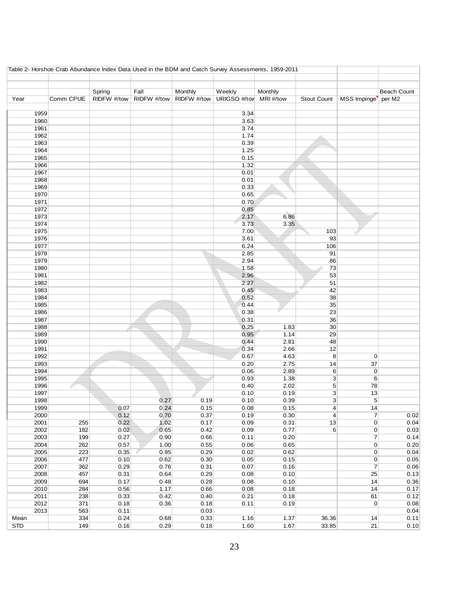| Table 2- Horshoe Crab Abundance Index Data Used in the BDM and Catch Survey Assessments, 1959-2011 |           |             |             |             |                        |         |                    |                 |                    |
|----------------------------------------------------------------------------------------------------|-----------|-------------|-------------|-------------|------------------------|---------|--------------------|-----------------|--------------------|
|                                                                                                    |           |             |             |             |                        |         |                    |                 |                    |
|                                                                                                    |           |             |             |             |                        |         |                    |                 |                    |
|                                                                                                    |           | Spring      | Fall        | Monthly     | Weekly                 | Monthly |                    |                 | <b>Beach Count</b> |
| Year                                                                                               | Comm CPUE | RIDFW #/tow | RIDFW #/tow | RIDFW #/tow | URIGSO #/tow MRI #/tow |         | <b>Stout Count</b> | MSS Impinge     | per M2             |
|                                                                                                    |           |             |             |             |                        |         |                    |                 |                    |
| 1959                                                                                               |           |             |             |             | 3.34                   |         |                    |                 |                    |
| 1960                                                                                               |           |             |             |             | 3.63                   |         |                    |                 |                    |
| 1961                                                                                               |           |             |             |             | 3.74                   |         |                    |                 |                    |
| 1962                                                                                               |           |             |             |             | 1.74                   |         |                    |                 |                    |
| 1963                                                                                               |           |             |             |             | 0.39                   |         |                    |                 |                    |
| 1964                                                                                               |           |             |             |             | 1.25                   |         |                    |                 |                    |
| 1965                                                                                               |           |             |             |             | 0.15                   |         |                    |                 |                    |
| 1966                                                                                               |           |             |             |             | 1.32                   |         |                    |                 |                    |
| 1967                                                                                               |           |             |             |             | 0.01                   |         |                    |                 |                    |
| 1968                                                                                               |           |             |             |             | 0.01                   |         |                    |                 |                    |
| 1969                                                                                               |           |             |             |             | 0.33                   |         |                    |                 |                    |
| 1970                                                                                               |           |             |             |             | 0.65                   |         |                    |                 |                    |
| 1971                                                                                               |           |             |             |             | 0.70                   |         |                    |                 |                    |
| 1972                                                                                               |           |             |             |             | 0.85                   |         |                    |                 |                    |
| 1973                                                                                               |           |             |             |             | 2.17                   | 6.86    |                    |                 |                    |
| 1974                                                                                               |           |             |             |             | 3.73                   | 3.35    |                    |                 |                    |
| 1975                                                                                               |           |             |             |             | 7.00                   |         | 103                |                 |                    |
| 1976                                                                                               |           |             |             |             | 3.61                   |         | 93                 |                 |                    |
| 1977                                                                                               |           |             |             |             |                        |         |                    |                 |                    |
|                                                                                                    |           |             |             |             | 6.24                   |         | 106                |                 |                    |
| 1978                                                                                               |           |             |             |             | 2.85                   |         | 91                 |                 |                    |
| 1979                                                                                               |           |             |             |             | 2.94                   |         | 86                 |                 |                    |
| 1980                                                                                               |           |             |             |             | 1.58                   |         | 73                 |                 |                    |
| 1981                                                                                               |           |             |             |             | 2.96                   |         | 53                 |                 |                    |
| 1982                                                                                               |           |             |             |             | 2.27                   |         | 51                 |                 |                    |
| 1983                                                                                               |           |             |             |             | 0.45                   |         | 42                 |                 |                    |
| 1984                                                                                               |           |             |             |             | 0.52                   |         | 38                 |                 |                    |
| 1985                                                                                               |           |             |             |             | 0.44                   |         | 35                 |                 |                    |
| 1986                                                                                               |           |             |             |             | 0.38                   |         | 23                 |                 |                    |
| 1987                                                                                               |           |             |             |             | 0.31                   |         | 36                 |                 |                    |
| 1988                                                                                               |           |             |             |             | 0.25                   | 1.83    | 30                 |                 |                    |
| 1989                                                                                               |           |             |             |             | 0.95                   | 1.14    | 29                 |                 |                    |
| 1990                                                                                               |           |             |             |             | 0.44                   | 2.81    | 48                 |                 |                    |
| 1991                                                                                               |           |             |             |             | 0.34                   | 2.66    | 12                 |                 |                    |
| 1992                                                                                               |           |             |             |             | 0.67                   | 4.63    | 8                  | 0               |                    |
| 1993                                                                                               |           |             |             |             | 0.20                   | 2.75    | 14                 | 37              |                    |
| 1994                                                                                               |           |             |             |             | 0.06                   | 2.89    | 6                  | $\pmb{0}$       |                    |
| 1995                                                                                               |           |             |             |             | 0.93                   | 1.38    | $\sqrt{3}$         | 6               |                    |
| 1996                                                                                               |           |             |             |             | 0.40                   | 2.02    | 5                  | 78              |                    |
| 1997                                                                                               |           |             |             |             | 0.10                   | 0.19    | $\overline{3}$     | 13              |                    |
| 1998                                                                                               |           |             | 0.27        | 0.19        | 0.10                   | 0.39    | 3                  | 5               |                    |
| 1999                                                                                               |           | 0.07        | 0.24        | 0.15        | 0.08                   | 0.15    | $\overline{4}$     | 14              |                    |
| 2000                                                                                               |           | 0.12        | 0.70        | 0.37        | 0.19                   | 0.30    | $\vert 4 \vert$    | $\overline{7}$  | 0.02               |
| 2001                                                                                               | 255       | 0.22        | 1.02        | 0.17        | 0.09                   | 0.31    | 13                 | $\Omega$        | 0.04               |
| 2002                                                                                               | 182       | 0.02        | 0.65        | 0.42        | 0.09                   | 0.77    | $\sqrt{6}$         | $\Omega$        | 0.03               |
| 2003                                                                                               | 199       | 0.27        | 0.90        | 0.66        | 0.11                   | 0.20    |                    | $\overline{7}$  | 0.14               |
|                                                                                                    |           |             |             |             |                        |         |                    |                 |                    |
| 2004                                                                                               | 262       | 0.57        | 1.00        | 0.55        | 0.06                   | 0.65    |                    | $\Omega$        | 0.20               |
| 2005                                                                                               | 223       | 0.35        | 0.95        | 0.29        | 0.02                   | 0.62    |                    | $\overline{0}$  | 0.04               |
| 2006                                                                                               | 477       | 0.10        | 0.62        | 0.30        | 0.05                   | 0.15    |                    | $\Omega$        | 0.05               |
| 2007                                                                                               | 362       | 0.29        | 0.76        | 0.31        | 0.07                   | 0.16    |                    | $\overline{7}$  | 0.06               |
| 2008                                                                                               | 457       | 0.31        | 0.64        | 0.29        | 0.08                   | 0.10    |                    | 25              | 0.13               |
| 2009                                                                                               | 694       | 0.17        | 0.48        | 0.28        | 0.08                   | 0.10    |                    | 14              | 0.36               |
| 2010                                                                                               | 284       | 0.56        | 1.17        | 0.66        | 0.08                   | 0.18    |                    | 14              | 0.17               |
| 2011                                                                                               | 238       | 0.33        | 0.42        | 0.40        | 0.21                   | 0.18    |                    | 61              | 0.12               |
| 2012                                                                                               | 371       | 0.18        | 0.36        | 0.18        | 0.11                   | 0.19    |                    | $\vert 0 \vert$ | 0.08               |
| 2013                                                                                               | 563       | 0.11        |             | 0.03        |                        |         |                    |                 | 0.04               |
| Mean                                                                                               | 334       | 0.24        | 0.68        | 0.33        | 1.16                   | 1.37    | 36.36              | 14              | 0.11               |
| <b>STD</b>                                                                                         | 149       | 0.16        | 0.29        | 0.18        | 1.60                   | 1.67    | 33.85              | 21              | 0.10               |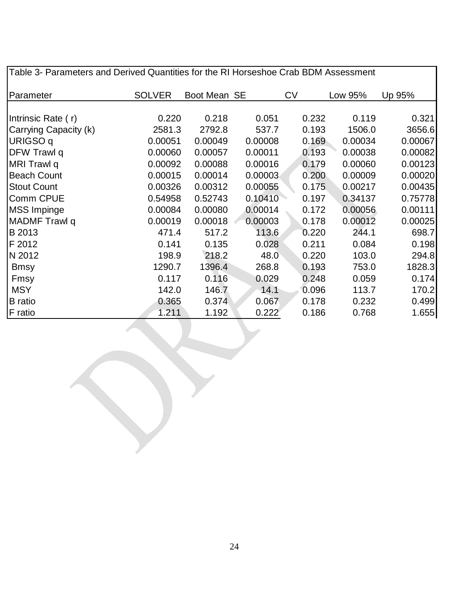| Table 3- Parameters and Derived Quantities for the RI Horseshoe Crab BDM Assessment |               |              |         |           |         |         |  |
|-------------------------------------------------------------------------------------|---------------|--------------|---------|-----------|---------|---------|--|
| Parameter                                                                           | <b>SOLVER</b> | Boot Mean SE |         | <b>CV</b> | Low 95% | Up 95%  |  |
|                                                                                     |               |              |         |           |         |         |  |
| Intrinsic Rate (r)                                                                  | 0.220         | 0.218        | 0.051   | 0.232     | 0.119   | 0.321   |  |
| Carrying Capacity (k)                                                               | 2581.3        | 2792.8       | 537.7   | 0.193     | 1506.0  | 3656.6  |  |
| URIGSO q                                                                            | 0.00051       | 0.00049      | 0.00008 | 0.169     | 0.00034 | 0.00067 |  |
| DFW Trawl q                                                                         | 0.00060       | 0.00057      | 0.00011 | 0.193     | 0.00038 | 0.00082 |  |
| MRI Trawl q                                                                         | 0.00092       | 0.00088      | 0.00016 | 0.179     | 0.00060 | 0.00123 |  |
| <b>Beach Count</b>                                                                  | 0.00015       | 0.00014      | 0.00003 | 0.200     | 0.00009 | 0.00020 |  |
| <b>Stout Count</b>                                                                  | 0.00326       | 0.00312      | 0.00055 | 0.175     | 0.00217 | 0.00435 |  |
| Comm CPUE                                                                           | 0.54958       | 0.52743      | 0.10410 | 0.197     | 0.34137 | 0.75778 |  |
| <b>MSS Impinge</b>                                                                  | 0.00084       | 0.00080      | 0.00014 | 0.172     | 0.00056 | 0.00111 |  |
| MADMF Trawl q                                                                       | 0.00019       | 0.00018      | 0.00003 | 0.178     | 0.00012 | 0.00025 |  |
| B 2013                                                                              | 471.4         | 517.2        | 113.6   | 0.220     | 244.1   | 698.7   |  |
| F 2012                                                                              | 0.141         | 0.135        | 0.028   | 0.211     | 0.084   | 0.198   |  |
| N 2012                                                                              | 198.9         | 218.2        | 48.0    | 0.220     | 103.0   | 294.8   |  |
| <b>Bmsy</b>                                                                         | 1290.7        | 1396.4       | 268.8   | 0.193     | 753.0   | 1828.3  |  |
| Fmsy                                                                                | 0.117         | 0.116        | 0.029   | 0.248     | 0.059   | 0.174   |  |
| <b>MSY</b>                                                                          | 142.0         | 146.7        | 14.1    | 0.096     | 113.7   | 170.2   |  |
| <b>B</b> ratio                                                                      | 0.365         | 0.374        | 0.067   | 0.178     | 0.232   | 0.499   |  |
| F ratio                                                                             | 1.211         | 1.192        | 0.222   | 0.186     | 0.768   | 1.655   |  |

24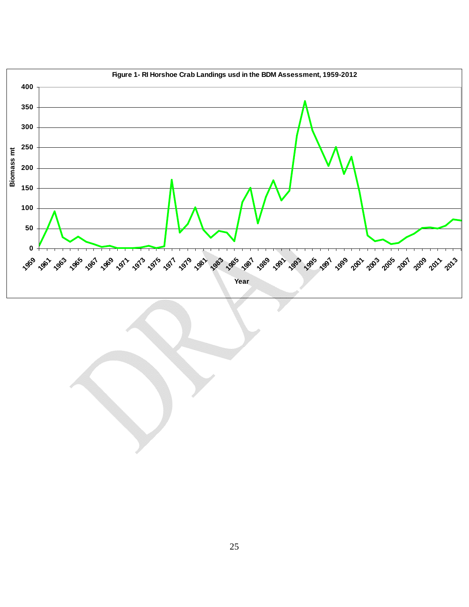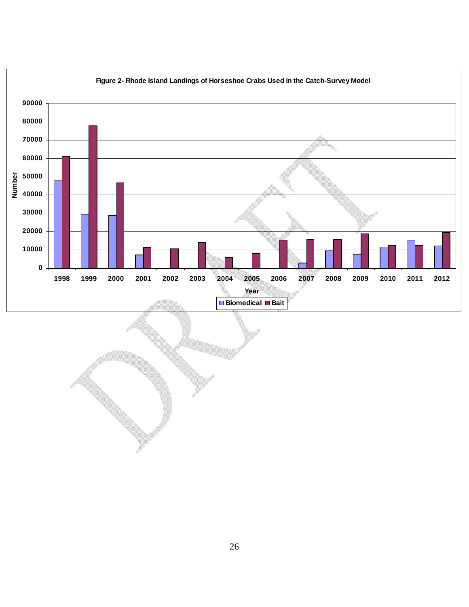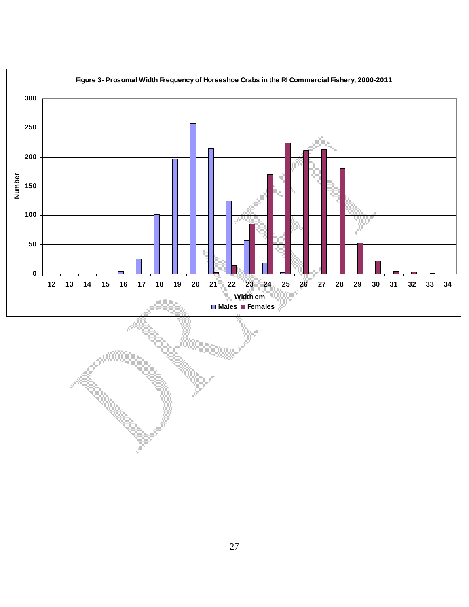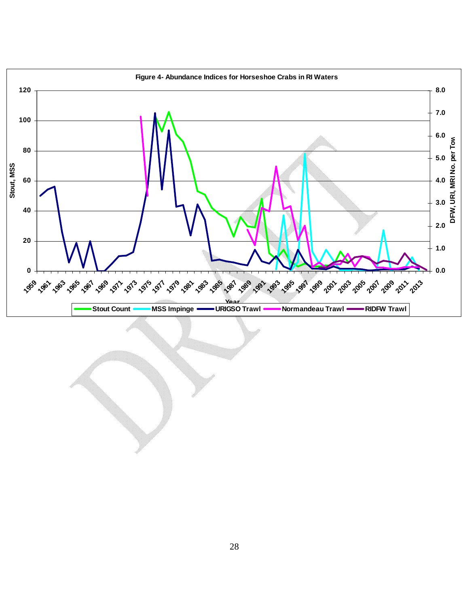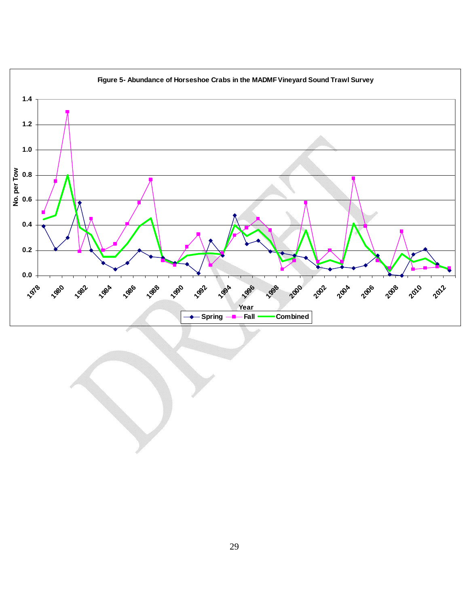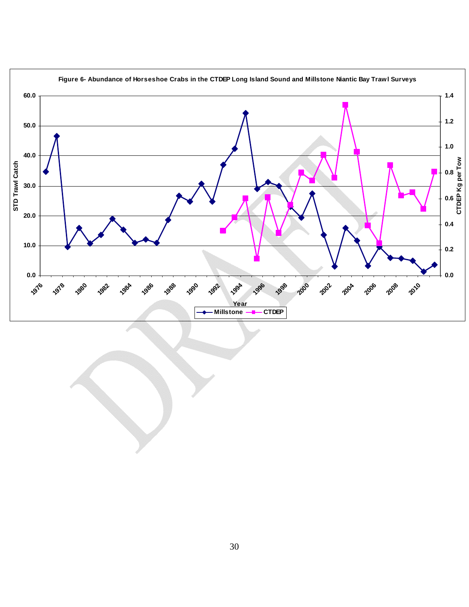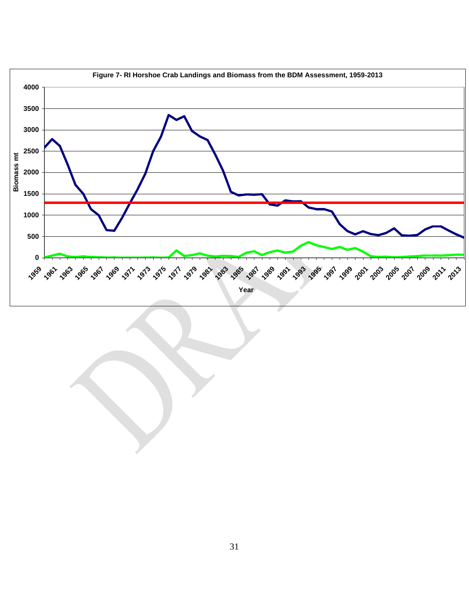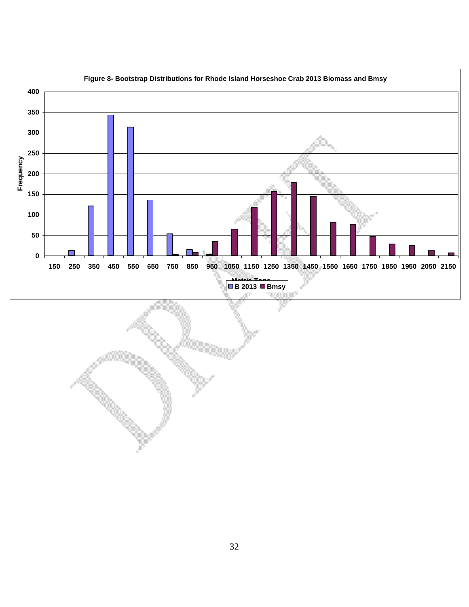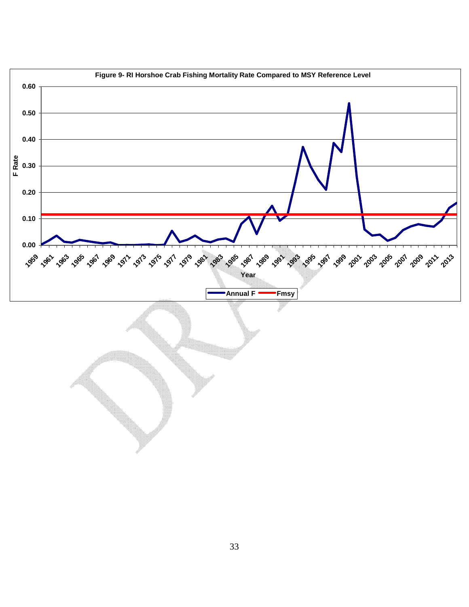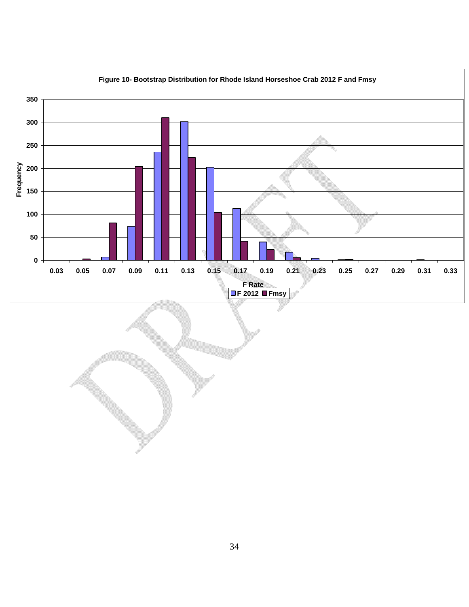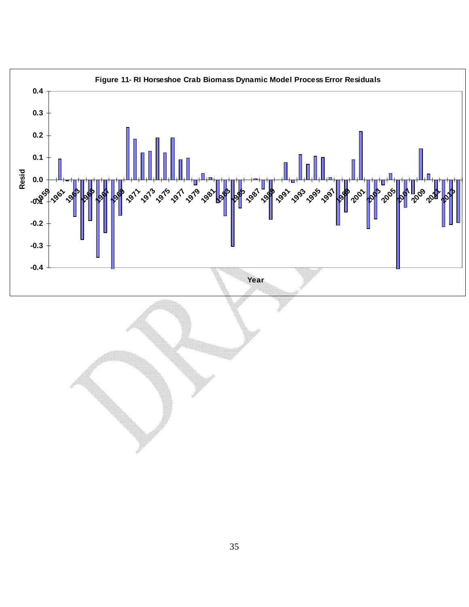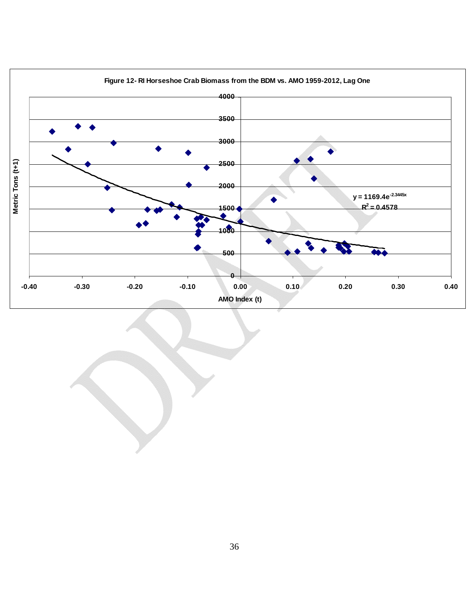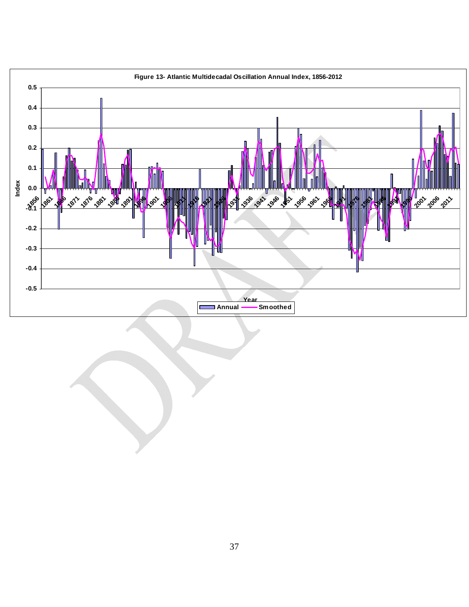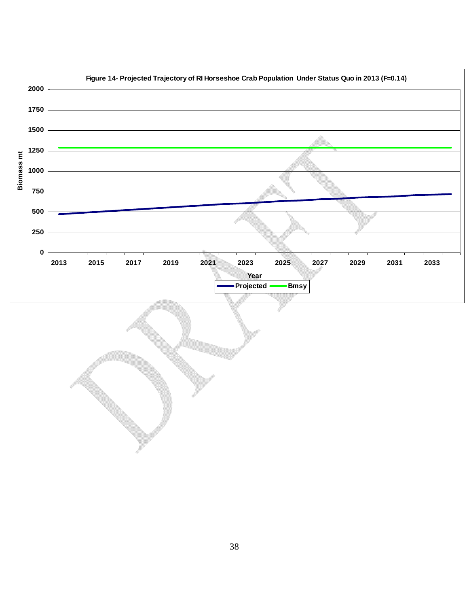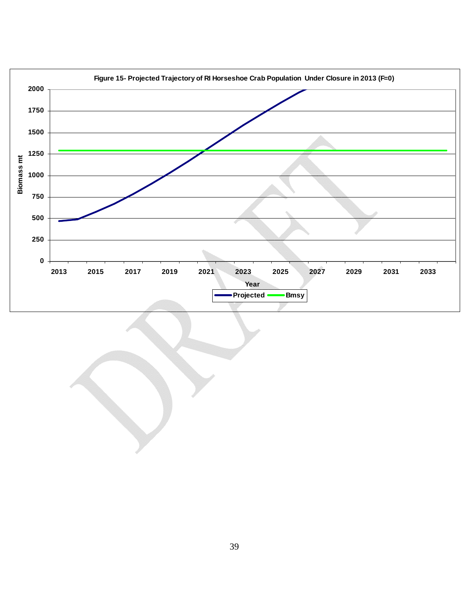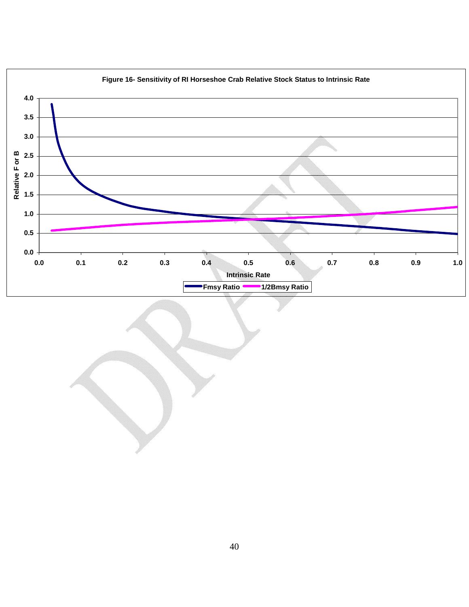

# 40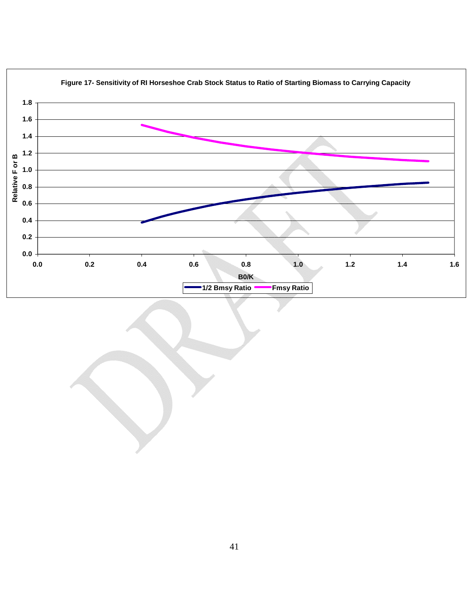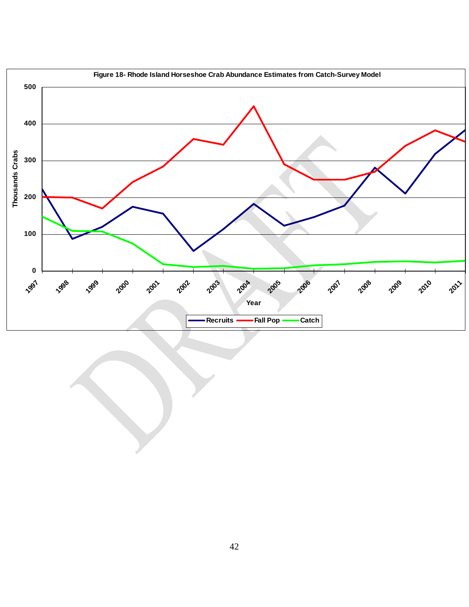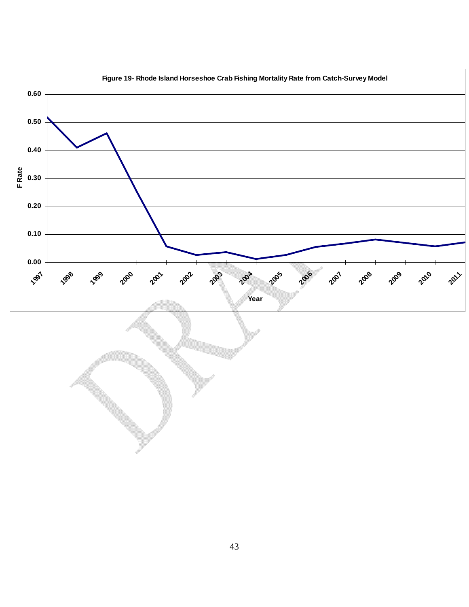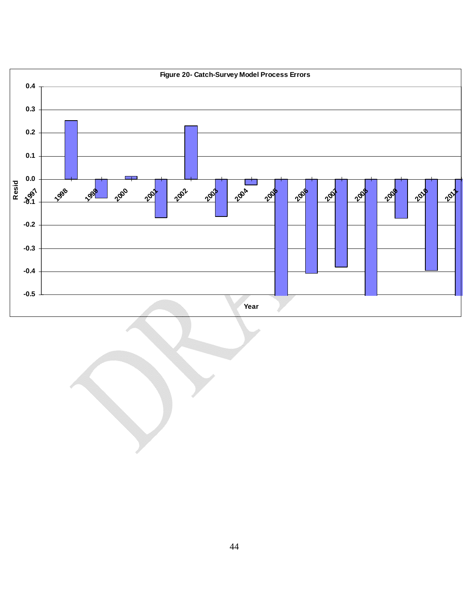